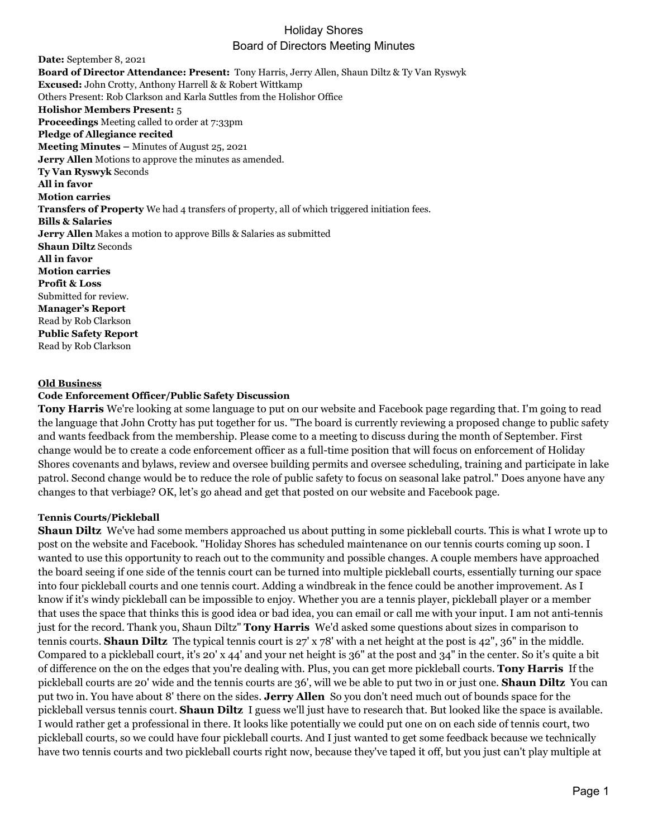# Holiday Shores Board of Directors Meeting Minutes

**Date:** September 8, 2021 **Board of Director Attendance: Present:** Tony Harris, Jerry Allen, Shaun Diltz & Ty Van Ryswyk **Excused:** John Crotty, Anthony Harrell & & Robert Wittkamp Others Present: Rob Clarkson and Karla Suttles from the Holishor Office **Holishor Members Present:** 5 **Proceedings** Meeting called to order at 7:33pm **Pledge of Allegiance recited Meeting Minutes –** Minutes of August 25, 2021 **Jerry Allen** Motions to approve the minutes as amended. **Ty Van Ryswyk** Seconds **All in favor Motion carries Transfers of Property** We had 4 transfers of property, all of which triggered initiation fees. **Bills & Salaries Jerry Allen** Makes a motion to approve Bills & Salaries as submitted **Shaun Diltz** Seconds **All in favor Motion carries Profit & Loss** Submitted for review. **Manager's Report** Read by Rob Clarkson **Public Safety Report** Read by Rob Clarkson

#### **Old Business**

### **Code Enforcement Officer/Public Safety Discussion**

**Tony Harris** We're looking at some language to put on our website and Facebook page regarding that. I'm going to read the language that John Crotty has put together for us. "The board is currently reviewing a proposed change to public safety and wants feedback from the membership. Please come to a meeting to discuss during the month of September. First change would be to create a code enforcement officer as a full-time position that will focus on enforcement of Holiday Shores covenants and bylaws, review and oversee building permits and oversee scheduling, training and participate in lake patrol. Second change would be to reduce the role of public safety to focus on seasonal lake patrol." Does anyone have any changes to that verbiage? OK, let's go ahead and get that posted on our website and Facebook page.

#### **Tennis Courts/Pickleball**

**Shaun Diltz** We've had some members approached us about putting in some pickleball courts. This is what I wrote up to post on the website and Facebook. "Holiday Shores has scheduled maintenance on our tennis courts coming up soon. I wanted to use this opportunity to reach out to the community and possible changes. A couple members have approached the board seeing if one side of the tennis court can be turned into multiple pickleball courts, essentially turning our space into four pickleball courts and one tennis court. Adding a windbreak in the fence could be another improvement. As I know if it's windy pickleball can be impossible to enjoy. Whether you are a tennis player, pickleball player or a member that uses the space that thinks this is good idea or bad idea, you can email or call me with your input. I am not anti-tennis just for the record. Thank you, Shaun Diltz" **Tony Harris** We'd asked some questions about sizes in comparison to tennis courts. **Shaun Diltz** The typical tennis court is 27' x 78' with a net height at the post is 42", 36" in the middle. Compared to a pickleball court, it's 20' x 44' and your net height is 36" at the post and 34" in the center. So it's quite a bit of difference on the on the edges that you're dealing with. Plus, you can get more pickleball courts. **Tony Harris** If the pickleball courts are 20' wide and the tennis courts are 36', will we be able to put two in or just one. **Shaun Diltz** You can put two in. You have about 8' there on the sides. **Jerry Allen** So you don't need much out of bounds space for the pickleball versus tennis court. **Shaun Diltz** I guess we'll just have to research that. But looked like the space is available. I would rather get a professional in there. It looks like potentially we could put one on on each side of tennis court, two pickleball courts, so we could have four pickleball courts. And I just wanted to get some feedback because we technically have two tennis courts and two pickleball courts right now, because they've taped it off, but you just can't play multiple at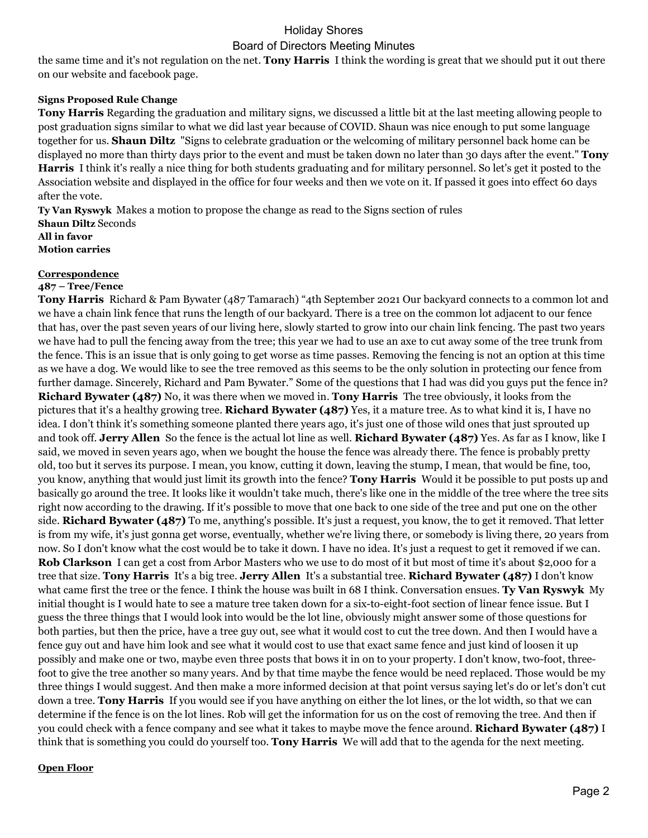# Holiday Shores Board of Directors Meeting Minutes

the same time and it's not regulation on the net. **Tony Harris** I think the wording is great that we should put it out there on our website and facebook page.

### **Signs Proposed Rule Change**

**Tony Harris** Regarding the graduation and military signs, we discussed a little bit at the last meeting allowing people to post graduation signs similar to what we did last year because of COVID. Shaun was nice enough to put some language together for us. **Shaun Diltz** "Signs to celebrate graduation or the welcoming of military personnel back home can be displayed no more than thirty days prior to the event and must be taken down no later than 30 days after the event." **Tony Harris** I think it's really a nice thing for both students graduating and for military personnel. So let's get it posted to the Association website and displayed in the office for four weeks and then we vote on it. If passed it goes into effect 60 days after the vote.

**Ty Van Ryswyk** Makes a motion to propose the change as read to the Signs section of rules **Shaun Diltz** Seconds **All in favor Motion carries**

### **Correspondence**

#### **487 – Tree/Fence**

**Tony Harris** Richard & Pam Bywater (487 Tamarach) "4th September 2021 Our backyard connects to a common lot and we have a chain link fence that runs the length of our backyard. There is a tree on the common lot adjacent to our fence that has, over the past seven years of our living here, slowly started to grow into our chain link fencing. The past two years we have had to pull the fencing away from the tree; this year we had to use an axe to cut away some of the tree trunk from the fence. This is an issue that is only going to get worse as time passes. Removing the fencing is not an option at this time as we have a dog. We would like to see the tree removed as this seems to be the only solution in protecting our fence from further damage. Sincerely, Richard and Pam Bywater." Some of the questions that I had was did you guys put the fence in? **Richard Bywater (487)** No, it was there when we moved in. **Tony Harris** The tree obviously, it looks from the pictures that it's a healthy growing tree. **Richard Bywater (487)** Yes, it a mature tree. As to what kind it is, I have no idea. I don't think it's something someone planted there years ago, it's just one of those wild ones that just sprouted up and took off. **Jerry Allen** So the fence is the actual lot line as well. **Richard Bywater (487)** Yes. As far as I know, like I said, we moved in seven years ago, when we bought the house the fence was already there. The fence is probably pretty old, too but it serves its purpose. I mean, you know, cutting it down, leaving the stump, I mean, that would be fine, too, you know, anything that would just limit its growth into the fence? **Tony Harris** Would it be possible to put posts up and basically go around the tree. It looks like it wouldn't take much, there's like one in the middle of the tree where the tree sits right now according to the drawing. If it's possible to move that one back to one side of the tree and put one on the other side. **Richard Bywater (487)** To me, anything's possible. It's just a request, you know, the to get it removed. That letter is from my wife, it's just gonna get worse, eventually, whether we're living there, or somebody is living there, 20 years from now. So I don't know what the cost would be to take it down. I have no idea. It's just a request to get it removed if we can. **Rob Clarkson** I can get a cost from Arbor Masters who we use to do most of it but most of time it's about \$2,000 for a tree that size. **Tony Harris** It's a big tree. **Jerry Allen** It's a substantial tree. **Richard Bywater (487)** I don't know what came first the tree or the fence. I think the house was built in 68 I think. Conversation ensues. **Ty Van Ryswyk** My initial thought is I would hate to see a mature tree taken down for a six-to-eight-foot section of linear fence issue. But I guess the three things that I would look into would be the lot line, obviously might answer some of those questions for both parties, but then the price, have a tree guy out, see what it would cost to cut the tree down. And then I would have a fence guy out and have him look and see what it would cost to use that exact same fence and just kind of loosen it up possibly and make one or two, maybe even three posts that bows it in on to your property. I don't know, two-foot, threefoot to give the tree another so many years. And by that time maybe the fence would be need replaced. Those would be my three things I would suggest. And then make a more informed decision at that point versus saying let's do or let's don't cut down a tree. **Tony Harris** If you would see if you have anything on either the lot lines, or the lot width, so that we can determine if the fence is on the lot lines. Rob will get the information for us on the cost of removing the tree. And then if you could check with a fence company and see what it takes to maybe move the fence around. **Richard Bywater (487)** I think that is something you could do yourself too. **Tony Harris** We will add that to the agenda for the next meeting.

### **Open Floor**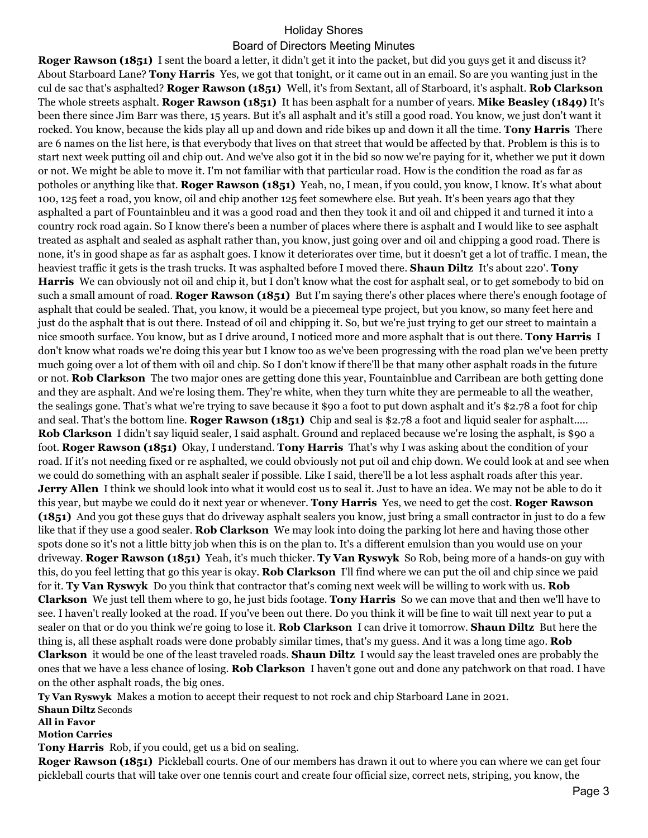# Holiday Shores

### Board of Directors Meeting Minutes

**Roger Rawson (1851)** I sent the board a letter, it didn't get it into the packet, but did you guys get it and discuss it? About Starboard Lane? **Tony Harris** Yes, we got that tonight, or it came out in an email. So are you wanting just in the cul de sac that's asphalted? **Roger Rawson (1851)** Well, it's from Sextant, all of Starboard, it's asphalt. **Rob Clarkson**  The whole streets asphalt. **Roger Rawson (1851)** It has been asphalt for a number of years. **Mike Beasley (1849)** It's been there since Jim Barr was there, 15 years. But it's all asphalt and it's still a good road. You know, we just don't want it rocked. You know, because the kids play all up and down and ride bikes up and down it all the time. **Tony Harris** There are 6 names on the list here, is that everybody that lives on that street that would be affected by that. Problem is this is to start next week putting oil and chip out. And we've also got it in the bid so now we're paying for it, whether we put it down or not. We might be able to move it. I'm not familiar with that particular road. How is the condition the road as far as potholes or anything like that. **Roger Rawson (1851)** Yeah, no, I mean, if you could, you know, I know. It's what about 100, 125 feet a road, you know, oil and chip another 125 feet somewhere else. But yeah. It's been years ago that they asphalted a part of Fountainbleu and it was a good road and then they took it and oil and chipped it and turned it into a country rock road again. So I know there's been a number of places where there is asphalt and I would like to see asphalt treated as asphalt and sealed as asphalt rather than, you know, just going over and oil and chipping a good road. There is none, it's in good shape as far as asphalt goes. I know it deteriorates over time, but it doesn't get a lot of traffic. I mean, the heaviest traffic it gets is the trash trucks. It was asphalted before I moved there. **Shaun Diltz** It's about 220'. **Tony Harris** We can obviously not oil and chip it, but I don't know what the cost for asphalt seal, or to get somebody to bid on such a small amount of road. **Roger Rawson (1851)** But I'm saying there's other places where there's enough footage of asphalt that could be sealed. That, you know, it would be a piecemeal type project, but you know, so many feet here and just do the asphalt that is out there. Instead of oil and chipping it. So, but we're just trying to get our street to maintain a nice smooth surface. You know, but as I drive around, I noticed more and more asphalt that is out there. **Tony Harris** I don't know what roads we're doing this year but I know too as we've been progressing with the road plan we've been pretty much going over a lot of them with oil and chip. So I don't know if there'll be that many other asphalt roads in the future or not. **Rob Clarkson** The two major ones are getting done this year, Fountainblue and Carribean are both getting done and they are asphalt. And we're losing them. They're white, when they turn white they are permeable to all the weather, the sealings gone. That's what we're trying to save because it \$90 a foot to put down asphalt and it's \$2.78 a foot for chip and seal. That's the bottom line. **Roger Rawson (1851)** Chip and seal is \$2.78 a foot and liquid sealer for asphalt..... **Rob Clarkson** I didn't say liquid sealer, I said asphalt. Ground and replaced because we're losing the asphalt, is \$90 a foot. **Roger Rawson (1851)** Okay, I understand. **Tony Harris** That's why I was asking about the condition of your road. If it's not needing fixed or re asphalted, we could obviously not put oil and chip down. We could look at and see when we could do something with an asphalt sealer if possible. Like I said, there'll be a lot less asphalt roads after this year. **Jerry Allen** I think we should look into what it would cost us to seal it. Just to have an idea. We may not be able to do it this year, but maybe we could do it next year or whenever. **Tony Harris** Yes, we need to get the cost. **Roger Rawson (1851)** And you got these guys that do driveway asphalt sealers you know, just bring a small contractor in just to do a few like that if they use a good sealer. **Rob Clarkson** We may look into doing the parking lot here and having those other spots done so it's not a little bitty job when this is on the plan to. It's a different emulsion than you would use on your driveway. **Roger Rawson (1851)** Yeah, it's much thicker. **Ty Van Ryswyk** So Rob, being more of a hands-on guy with this, do you feel letting that go this year is okay. **Rob Clarkson** I'll find where we can put the oil and chip since we paid for it. **Ty Van Ryswyk** Do you think that contractor that's coming next week will be willing to work with us. **Rob Clarkson** We just tell them where to go, he just bids footage. **Tony Harris** So we can move that and then we'll have to see. I haven't really looked at the road. If you've been out there. Do you think it will be fine to wait till next year to put a sealer on that or do you think we're going to lose it. **Rob Clarkson** I can drive it tomorrow. **Shaun Diltz** But here the thing is, all these asphalt roads were done probably similar times, that's my guess. And it was a long time ago. **Rob Clarkson** it would be one of the least traveled roads. **Shaun Diltz** I would say the least traveled ones are probably the ones that we have a less chance of losing. **Rob Clarkson** I haven't gone out and done any patchwork on that road. I have on the other asphalt roads, the big ones.

**Ty Van Ryswyk** Makes a motion to accept their request to not rock and chip Starboard Lane in 2021.

**Shaun Diltz** Seconds

**All in Favor**

**Motion Carries**

**Tony Harris** Rob, if you could, get us a bid on sealing.

**Roger Rawson (1851)** Pickleball courts. One of our members has drawn it out to where you can where we can get four pickleball courts that will take over one tennis court and create four official size, correct nets, striping, you know, the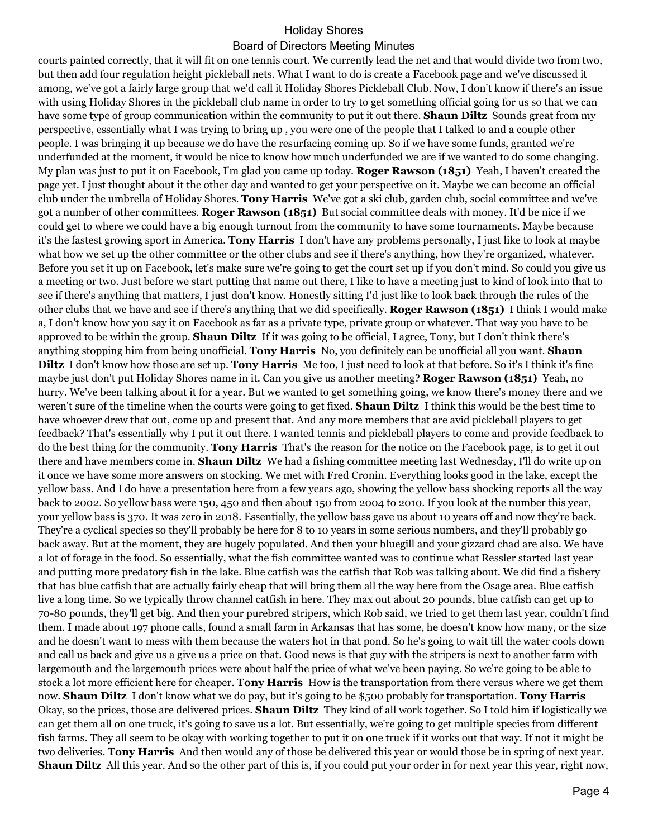## Holiday Shores

## Board of Directors Meeting Minutes

courts painted correctly, that it will fit on one tennis court. We currently lead the net and that would divide two from two, but then add four regulation height pickleball nets. What I want to do is create a Facebook page and we've discussed it among, we've got a fairly large group that we'd call it Holiday Shores Pickleball Club. Now, I don't know if there's an issue with using Holiday Shores in the pickleball club name in order to try to get something official going for us so that we can have some type of group communication within the community to put it out there. **Shaun Diltz** Sounds great from my perspective, essentially what I was trying to bring up , you were one of the people that I talked to and a couple other people. I was bringing it up because we do have the resurfacing coming up. So if we have some funds, granted we're underfunded at the moment, it would be nice to know how much underfunded we are if we wanted to do some changing. My plan was just to put it on Facebook, I'm glad you came up today. **Roger Rawson (1851)** Yeah, I haven't created the page yet. I just thought about it the other day and wanted to get your perspective on it. Maybe we can become an official club under the umbrella of Holiday Shores. **Tony Harris** We've got a ski club, garden club, social committee and we've got a number of other committees. **Roger Rawson (1851)** But social committee deals with money. It'd be nice if we could get to where we could have a big enough turnout from the community to have some tournaments. Maybe because it's the fastest growing sport in America. **Tony Harris** I don't have any problems personally, I just like to look at maybe what how we set up the other committee or the other clubs and see if there's anything, how they're organized, whatever. Before you set it up on Facebook, let's make sure we're going to get the court set up if you don't mind. So could you give us a meeting or two. Just before we start putting that name out there, I like to have a meeting just to kind of look into that to see if there's anything that matters, I just don't know. Honestly sitting I'd just like to look back through the rules of the other clubs that we have and see if there's anything that we did specifically. **Roger Rawson (1851)** I think I would make a, I don't know how you say it on Facebook as far as a private type, private group or whatever. That way you have to be approved to be within the group. **Shaun Diltz** If it was going to be official, I agree, Tony, but I don't think there's anything stopping him from being unofficial. **Tony Harris** No, you definitely can be unofficial all you want. **Shaun Diltz** I don't know how those are set up. **Tony Harris** Me too, I just need to look at that before. So it's I think it's fine maybe just don't put Holiday Shores name in it. Can you give us another meeting? **Roger Rawson (1851)** Yeah, no hurry. We've been talking about it for a year. But we wanted to get something going, we know there's money there and we weren't sure of the timeline when the courts were going to get fixed. **Shaun Diltz** I think this would be the best time to have whoever drew that out, come up and present that. And any more members that are avid pickleball players to get feedback? That's essentially why I put it out there. I wanted tennis and pickleball players to come and provide feedback to do the best thing for the community. **Tony Harris** That's the reason for the notice on the Facebook page, is to get it out there and have members come in. **Shaun Diltz** We had a fishing committee meeting last Wednesday, I'll do write up on it once we have some more answers on stocking. We met with Fred Cronin. Everything looks good in the lake, except the yellow bass. And I do have a presentation here from a few years ago, showing the yellow bass shocking reports all the way back to 2002. So yellow bass were 150, 450 and then about 150 from 2004 to 2010. If you look at the number this year, your yellow bass is 370. It was zero in 2018. Essentially, the yellow bass gave us about 10 years off and now they're back. They're a cyclical species so they'll probably be here for 8 to 10 years in some serious numbers, and they'll probably go back away. But at the moment, they are hugely populated. And then your bluegill and your gizzard chad are also. We have a lot of forage in the food. So essentially, what the fish committee wanted was to continue what Ressler started last year and putting more predatory fish in the lake. Blue catfish was the catfish that Rob was talking about. We did find a fishery that has blue catfish that are actually fairly cheap that will bring them all the way here from the Osage area. Blue catfish live a long time. So we typically throw channel catfish in here. They max out about 20 pounds, blue catfish can get up to 70-80 pounds, they'll get big. And then your purebred stripers, which Rob said, we tried to get them last year, couldn't find them. I made about 197 phone calls, found a small farm in Arkansas that has some, he doesn't know how many, or the size and he doesn't want to mess with them because the waters hot in that pond. So he's going to wait till the water cools down and call us back and give us a give us a price on that. Good news is that guy with the stripers is next to another farm with largemouth and the largemouth prices were about half the price of what we've been paying. So we're going to be able to stock a lot more efficient here for cheaper. **Tony Harris** How is the transportation from there versus where we get them now. **Shaun Diltz** I don't know what we do pay, but it's going to be \$500 probably for transportation. **Tony Harris**  Okay, so the prices, those are delivered prices. **Shaun Diltz** They kind of all work together. So I told him if logistically we can get them all on one truck, it's going to save us a lot. But essentially, we're going to get multiple species from different fish farms. They all seem to be okay with working together to put it on one truck if it works out that way. If not it might be two deliveries. **Tony Harris** And then would any of those be delivered this year or would those be in spring of next year. **Shaun Diltz** All this year. And so the other part of this is, if you could put your order in for next year this year, right now,